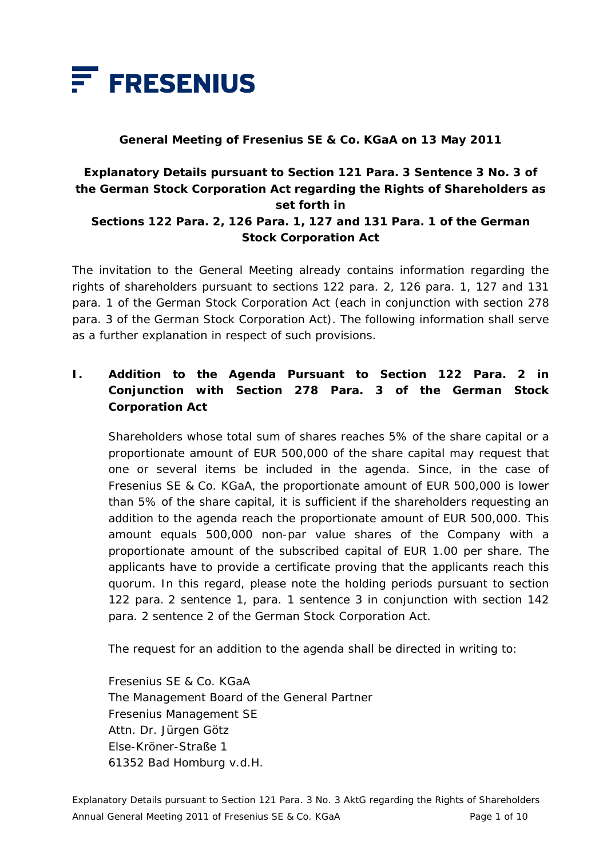

#### **General Meeting of Fresenius SE & Co. KGaA on 13 May 2011**

#### **Explanatory Details pursuant to Section 121 Para. 3 Sentence 3 No. 3 of the German Stock Corporation Act regarding the Rights of Shareholders as set forth in Sections 122 Para. 2, 126 Para. 1, 127 and 131 Para. 1 of the German**

# **Stock Corporation Act**

The invitation to the General Meeting already contains information regarding the rights of shareholders pursuant to sections 122 para. 2, 126 para. 1, 127 and 131 para. 1 of the German Stock Corporation Act (each in conjunction with section 278 para. 3 of the German Stock Corporation Act). The following information shall serve as a further explanation in respect of such provisions.

# **I. Addition to the Agenda Pursuant to Section 122 Para. 2 in Conjunction with Section 278 Para. 3 of the German Stock Corporation Act**

 Shareholders whose total sum of shares reaches 5% of the share capital or a proportionate amount of EUR 500,000 of the share capital may request that one or several items be included in the agenda. Since, in the case of Fresenius SE & Co. KGaA, the proportionate amount of EUR 500,000 is lower than 5% of the share capital, it is sufficient if the shareholders requesting an addition to the agenda reach the proportionate amount of EUR 500,000. This amount equals 500,000 non-par value shares of the Company with a proportionate amount of the subscribed capital of EUR 1.00 per share. The applicants have to provide a certificate proving that the applicants reach this quorum. In this regard, please note the holding periods pursuant to section 122 para. 2 sentence 1, para. 1 sentence 3 in conjunction with section 142 para. 2 sentence 2 of the German Stock Corporation Act.

The request for an addition to the agenda shall be directed in writing to:

 Fresenius SE & Co. KGaA The Management Board of the General Partner Fresenius Management SE Attn. Dr. Jürgen Götz Else-Kröner-Straße 1 61352 Bad Homburg v.d.H.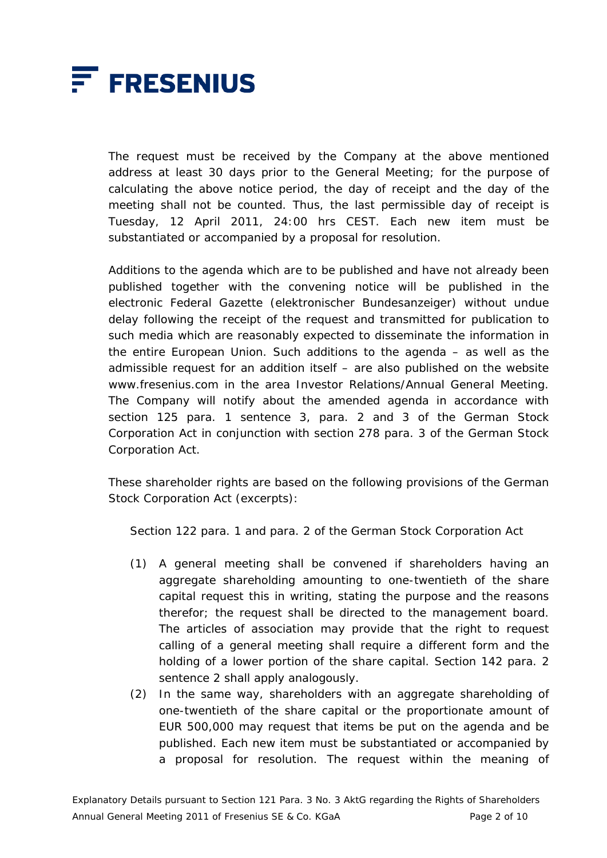

 The request must be received by the Company at the above mentioned address at least 30 days prior to the General Meeting; for the purpose of calculating the above notice period, the day of receipt and the day of the meeting shall not be counted. Thus, the last permissible day of receipt is Tuesday, 12 April 2011, 24:00 hrs CEST. Each new item must be substantiated or accompanied by a proposal for resolution.

 Additions to the agenda which are to be published and have not already been published together with the convening notice will be published in the electronic Federal Gazette (*elektronischer Bundesanzeiger*) without undue delay following the receipt of the request and transmitted for publication to such media which are reasonably expected to disseminate the information in the entire European Union. Such additions to the agenda – as well as the admissible request for an addition itself – are also published on the website www.fresenius.com in the area Investor Relations/Annual General Meeting. The Company will notify about the amended agenda in accordance with section 125 para. 1 sentence 3, para. 2 and 3 of the German Stock Corporation Act in conjunction with section 278 para. 3 of the German Stock Corporation Act.

 These shareholder rights are based on the following provisions of the German Stock Corporation Act (excerpts):

Section 122 para. 1 and para. 2 of the German Stock Corporation Act

- (1) A general meeting shall be convened if shareholders having an aggregate shareholding amounting to one-twentieth of the share capital request this in writing, stating the purpose and the reasons therefor; the request shall be directed to the management board. The articles of association may provide that the right to request calling of a general meeting shall require a different form and the holding of a lower portion of the share capital. Section 142 para. 2 sentence 2 shall apply analogously.
- (2) In the same way, shareholders with an aggregate shareholding of one-twentieth of the share capital or the proportionate amount of EUR 500,000 may request that items be put on the agenda and be published. Each new item must be substantiated or accompanied by a proposal for resolution. The request within the meaning of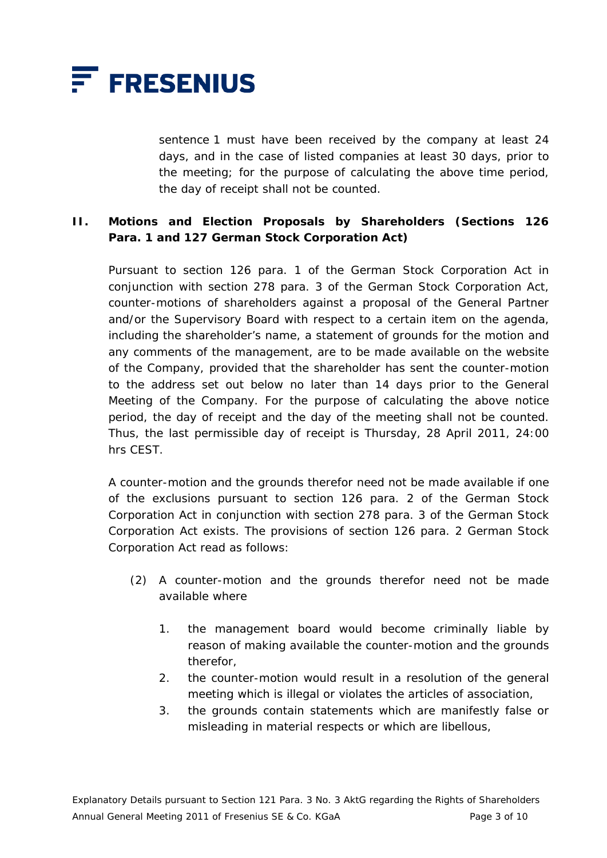

sentence 1 must have been received by the company at least 24 days, and in the case of listed companies at least 30 days, prior to the meeting; for the purpose of calculating the above time period, the day of receipt shall not be counted.

### **II. Motions and Election Proposals by Shareholders (Sections 126 Para. 1 and 127 German Stock Corporation Act)**

 Pursuant to section 126 para. 1 of the German Stock Corporation Act in conjunction with section 278 para. 3 of the German Stock Corporation Act, counter-motions of shareholders against a proposal of the General Partner and/or the Supervisory Board with respect to a certain item on the agenda, including the shareholder's name, a statement of grounds for the motion and any comments of the management, are to be made available on the website of the Company, provided that the shareholder has sent the counter-motion to the address set out below no later than 14 days prior to the General Meeting of the Company. For the purpose of calculating the above notice period, the day of receipt and the day of the meeting shall not be counted. Thus, the last permissible day of receipt is Thursday, 28 April 2011, 24:00 hrs CEST.

 A counter-motion and the grounds therefor need not be made available if one of the exclusions pursuant to section 126 para. 2 of the German Stock Corporation Act in conjunction with section 278 para. 3 of the German Stock Corporation Act exists. The provisions of section 126 para. 2 German Stock Corporation Act read as follows:

- (2) A counter-motion and the grounds therefor need not be made available where
	- 1. the management board would become criminally liable by reason of making available the counter-motion and the grounds therefor,
	- 2. the counter-motion would result in a resolution of the general meeting which is illegal or violates the articles of association,
	- 3. the grounds contain statements which are manifestly false or misleading in material respects or which are libellous,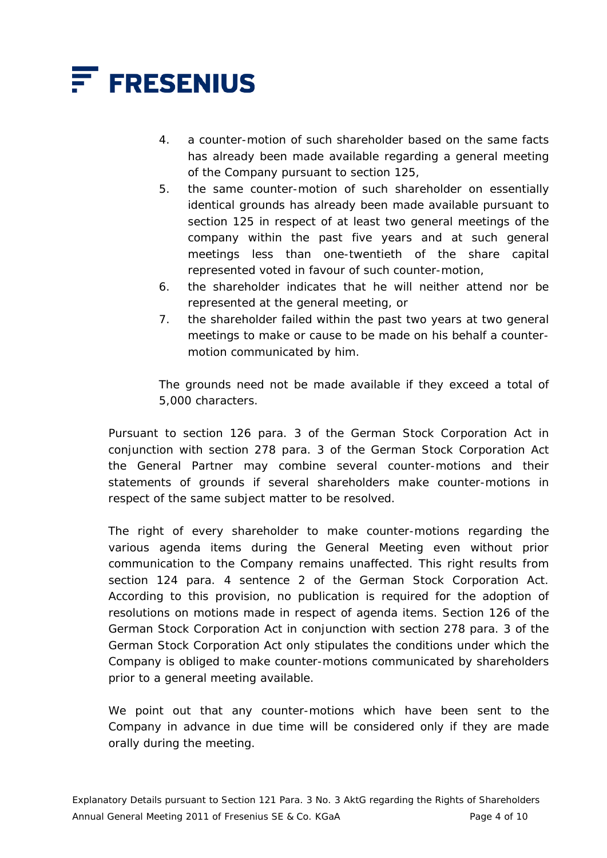

- 4. a counter-motion of such shareholder based on the same facts has already been made available regarding a general meeting of the Company pursuant to section 125,
- 5. the same counter-motion of such shareholder on essentially identical grounds has already been made available pursuant to section 125 in respect of at least two general meetings of the company within the past five years and at such general meetings less than one-twentieth of the share capital represented voted in favour of such counter-motion,
- 6. the shareholder indicates that he will neither attend nor be represented at the general meeting, or
- 7. the shareholder failed within the past two years at two general meetings to make or cause to be made on his behalf a countermotion communicated by him.

 The grounds need not be made available if they exceed a total of 5,000 characters.

 Pursuant to section 126 para. 3 of the German Stock Corporation Act in conjunction with section 278 para. 3 of the German Stock Corporation Act the General Partner may combine several counter-motions and their statements of grounds if several shareholders make counter-motions in respect of the same subject matter to be resolved.

The right of every shareholder to make counter-motions regarding the various agenda items during the General Meeting even without prior communication to the Company remains unaffected. This right results from section 124 para. 4 sentence 2 of the German Stock Corporation Act. According to this provision, no publication is required for the adoption of resolutions on motions made in respect of agenda items. Section 126 of the German Stock Corporation Act in conjunction with section 278 para. 3 of the German Stock Corporation Act only stipulates the conditions under which the Company is obliged to make counter-motions communicated by shareholders prior to a general meeting available.

 We point out that any counter-motions which have been sent to the Company in advance in due time will be considered only if they are made orally during the meeting.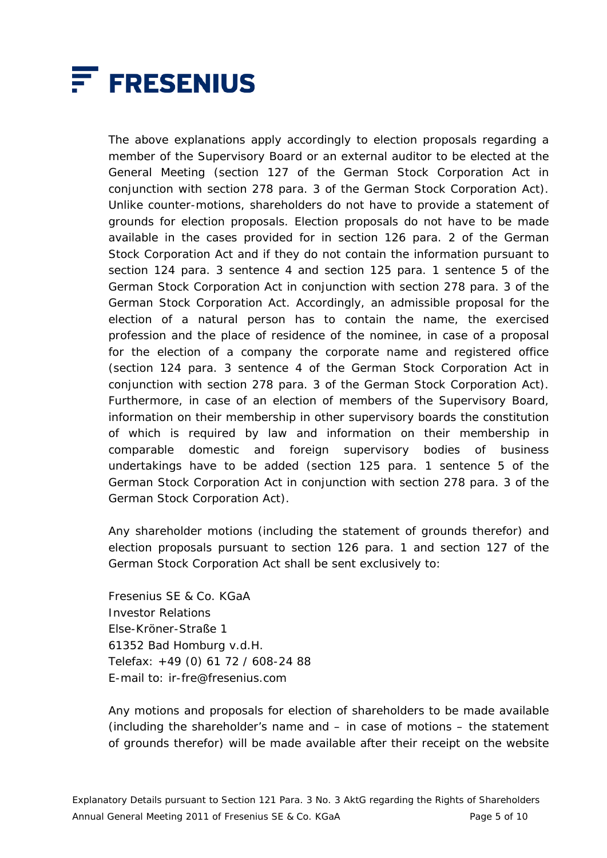

 The above explanations apply accordingly to election proposals regarding a member of the Supervisory Board or an external auditor to be elected at the General Meeting (section 127 of the German Stock Corporation Act in conjunction with section 278 para. 3 of the German Stock Corporation Act). Unlike counter-motions, shareholders do not have to provide a statement of grounds for election proposals. Election proposals do not have to be made available in the cases provided for in section 126 para. 2 of the German Stock Corporation Act and if they do not contain the information pursuant to section 124 para. 3 sentence 4 and section 125 para. 1 sentence 5 of the German Stock Corporation Act in conjunction with section 278 para. 3 of the German Stock Corporation Act. Accordingly, an admissible proposal for the election of a natural person has to contain the name, the exercised profession and the place of residence of the nominee, in case of a proposal for the election of a company the corporate name and registered office (section 124 para. 3 sentence 4 of the German Stock Corporation Act in conjunction with section 278 para. 3 of the German Stock Corporation Act). Furthermore, in case of an election of members of the Supervisory Board, information on their membership in other supervisory boards the constitution of which is required by law and information on their membership in comparable domestic and foreign supervisory bodies of business undertakings have to be added (section 125 para. 1 sentence 5 of the German Stock Corporation Act in conjunction with section 278 para. 3 of the German Stock Corporation Act).

 Any shareholder motions (including the statement of grounds therefor) and election proposals pursuant to section 126 para. 1 and section 127 of the German Stock Corporation Act shall be sent exclusively to:

 Fresenius SE & Co. KGaA Investor Relations Else-Kröner-Straße 1 61352 Bad Homburg v.d.H. Telefax: +49 (0) 61 72 / 608-24 88 E-mail to: ir-fre@fresenius.com

 Any motions and proposals for election of shareholders to be made available (including the shareholder's name and – in case of motions – the statement of grounds therefor) will be made available after their receipt on the website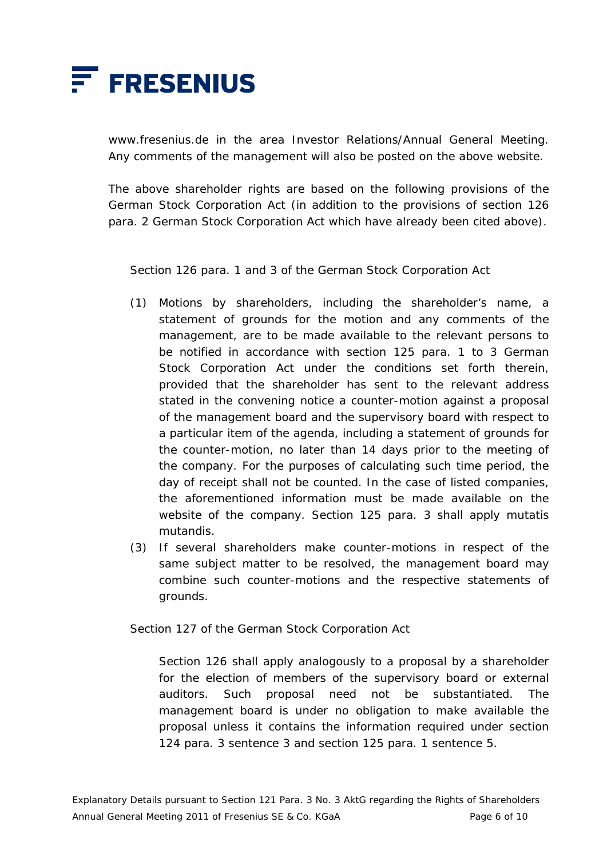

www.fresenius.de in the area Investor Relations/Annual General Meeting. Any comments of the management will also be posted on the above website.

 The above shareholder rights are based on the following provisions of the German Stock Corporation Act (in addition to the provisions of section 126 para. 2 German Stock Corporation Act which have already been cited above).

Section 126 para. 1 and 3 of the German Stock Corporation Act

- (1) Motions by shareholders, including the shareholder's name, a statement of grounds for the motion and any comments of the management, are to be made available to the relevant persons to be notified in accordance with section 125 para. 1 to 3 German Stock Corporation Act under the conditions set forth therein, provided that the shareholder has sent to the relevant address stated in the convening notice a counter-motion against a proposal of the management board and the supervisory board with respect to a particular item of the agenda, including a statement of grounds for the counter-motion, no later than 14 days prior to the meeting of the company. For the purposes of calculating such time period, the day of receipt shall not be counted. In the case of listed companies, the aforementioned information must be made available on the website of the company. Section 125 para. 3 shall apply mutatis mutandis.
- (3) If several shareholders make counter-motions in respect of the same subject matter to be resolved, the management board may combine such counter-motions and the respective statements of grounds.

Section 127 of the German Stock Corporation Act

 Section 126 shall apply analogously to a proposal by a shareholder for the election of members of the supervisory board or external auditors. Such proposal need not be substantiated. The management board is under no obligation to make available the proposal unless it contains the information required under section 124 para. 3 sentence 3 and section 125 para. 1 sentence 5.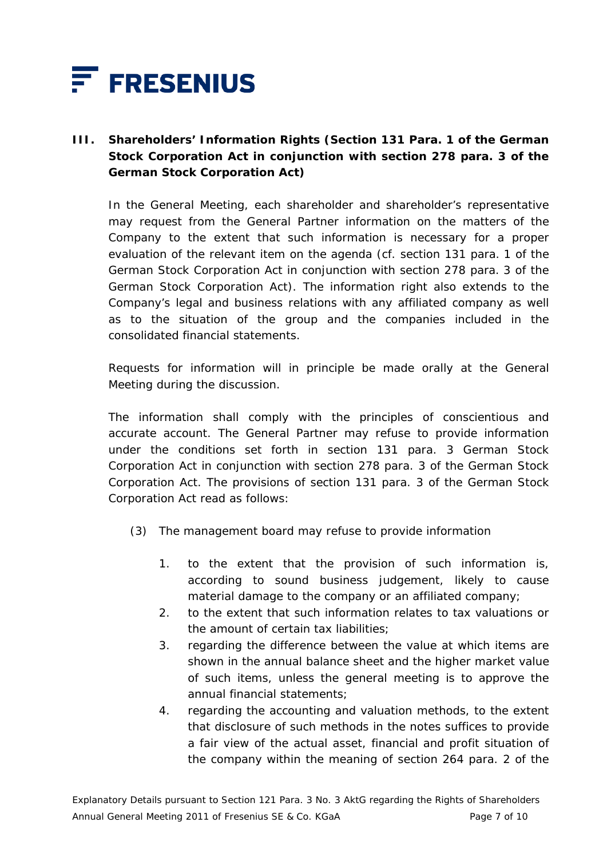

# **III. Shareholders' Information Rights (Section 131 Para. 1 of the German Stock Corporation Act in conjunction with section 278 para. 3 of the German Stock Corporation Act)**

 In the General Meeting, each shareholder and shareholder's representative may request from the General Partner information on the matters of the Company to the extent that such information is necessary for a proper evaluation of the relevant item on the agenda (cf. section 131 para. 1 of the German Stock Corporation Act in conjunction with section 278 para. 3 of the German Stock Corporation Act). The information right also extends to the Company's legal and business relations with any affiliated company as well as to the situation of the group and the companies included in the consolidated financial statements.

 Requests for information will in principle be made orally at the General Meeting during the discussion.

 The information shall comply with the principles of conscientious and accurate account. The General Partner may refuse to provide information under the conditions set forth in section 131 para. 3 German Stock Corporation Act in conjunction with section 278 para. 3 of the German Stock Corporation Act. The provisions of section 131 para. 3 of the German Stock Corporation Act read as follows:

- (3) The management board may refuse to provide information
	- 1. to the extent that the provision of such information is, according to sound business judgement, likely to cause material damage to the company or an affiliated company;
	- 2. to the extent that such information relates to tax valuations or the amount of certain tax liabilities;
	- 3. regarding the difference between the value at which items are shown in the annual balance sheet and the higher market value of such items, unless the general meeting is to approve the annual financial statements;
	- 4. regarding the accounting and valuation methods, to the extent that disclosure of such methods in the notes suffices to provide a fair view of the actual asset, financial and profit situation of the company within the meaning of section 264 para. 2 of the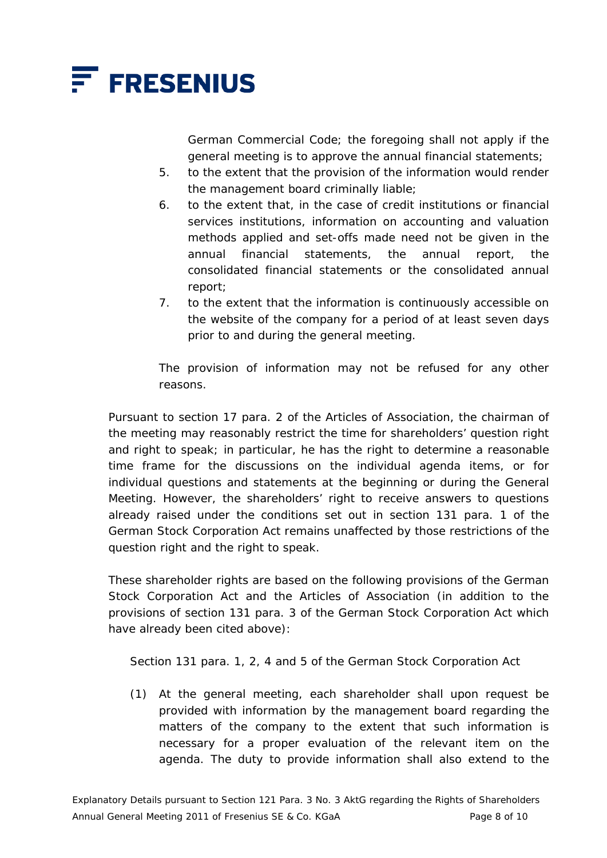

German Commercial Code; the foregoing shall not apply if the general meeting is to approve the annual financial statements;

- 5. to the extent that the provision of the information would render the management board criminally liable;
- 6. to the extent that, in the case of credit institutions or financial services institutions, information on accounting and valuation methods applied and set-offs made need not be given in the annual financial statements, the annual report, the consolidated financial statements or the consolidated annual report;
- 7. to the extent that the information is continuously accessible on the website of the company for a period of at least seven days prior to and during the general meeting.

 The provision of information may not be refused for any other reasons.

 Pursuant to section 17 para. 2 of the Articles of Association, the chairman of the meeting may reasonably restrict the time for shareholders' question right and right to speak; in particular, he has the right to determine a reasonable time frame for the discussions on the individual agenda items, or for individual questions and statements at the beginning or during the General Meeting. However, the shareholders' right to receive answers to questions already raised under the conditions set out in section 131 para. 1 of the German Stock Corporation Act remains unaffected by those restrictions of the question right and the right to speak.

 These shareholder rights are based on the following provisions of the German Stock Corporation Act and the Articles of Association (in addition to the provisions of section 131 para. 3 of the German Stock Corporation Act which have already been cited above):

Section 131 para. 1, 2, 4 and 5 of the German Stock Corporation Act

(1) At the general meeting, each shareholder shall upon request be provided with information by the management board regarding the matters of the company to the extent that such information is necessary for a proper evaluation of the relevant item on the agenda. The duty to provide information shall also extend to the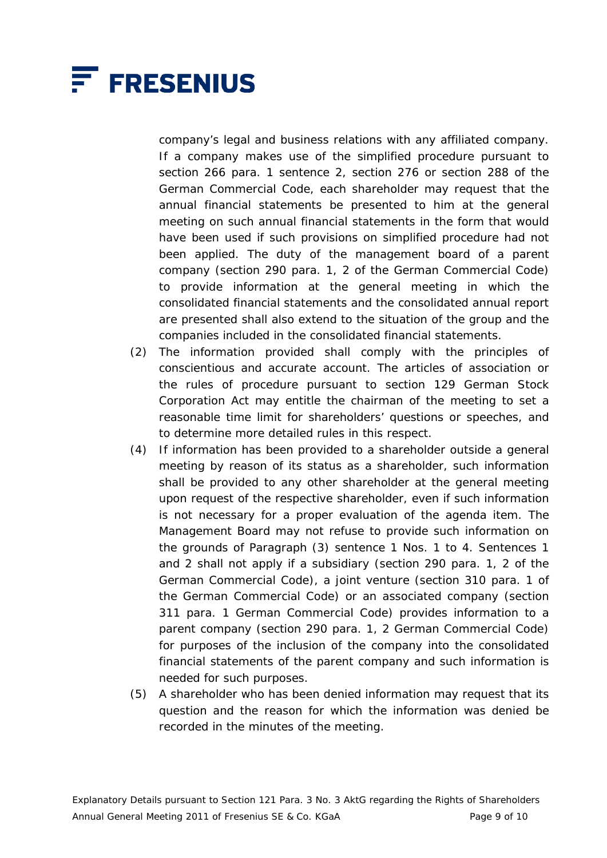

company's legal and business relations with any affiliated company. If a company makes use of the simplified procedure pursuant to section 266 para. 1 sentence 2, section 276 or section 288 of the German Commercial Code, each shareholder may request that the annual financial statements be presented to him at the general meeting on such annual financial statements in the form that would have been used if such provisions on simplified procedure had not been applied. The duty of the management board of a parent company (section 290 para. 1, 2 of the German Commercial Code) to provide information at the general meeting in which the consolidated financial statements and the consolidated annual report are presented shall also extend to the situation of the group and the companies included in the consolidated financial statements.

- (2) The information provided shall comply with the principles of conscientious and accurate account. The articles of association or the rules of procedure pursuant to section 129 German Stock Corporation Act may entitle the chairman of the meeting to set a reasonable time limit for shareholders' questions or speeches, and to determine more detailed rules in this respect.
- (4) If information has been provided to a shareholder outside a general meeting by reason of its status as a shareholder, such information shall be provided to any other shareholder at the general meeting upon request of the respective shareholder, even if such information is not necessary for a proper evaluation of the agenda item. The Management Board may not refuse to provide such information on the grounds of Paragraph (3) sentence 1 Nos. 1 to 4. Sentences 1 and 2 shall not apply if a subsidiary (section 290 para. 1, 2 of the German Commercial Code), a joint venture (section 310 para. 1 of the German Commercial Code) or an associated company (section 311 para. 1 German Commercial Code) provides information to a parent company (section 290 para. 1, 2 German Commercial Code) for purposes of the inclusion of the company into the consolidated financial statements of the parent company and such information is needed for such purposes.
- (5) A shareholder who has been denied information may request that its question and the reason for which the information was denied be recorded in the minutes of the meeting.